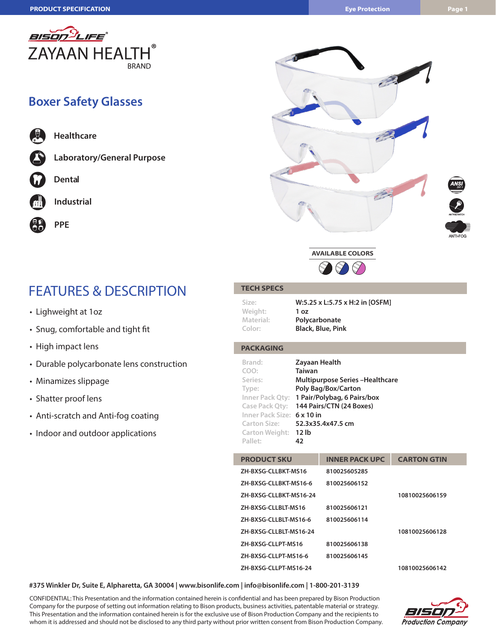

### **Boxer Safety Glasses**









# FEATURES & DESCRIPTION

- Lighweight at 1oz
- Snug, comfortable and tight fit
- High impact lens
- Durable polycarbonate lens construction
- Minamizes slippage
- Shatter proof lens
- Anti-scratch and Anti-fog coating
- Indoor and outdoor applications

### **TECH SPECS**

| W:5.25 x L:5.75 x H:2 in [OSFM] |
|---------------------------------|
| 1 <sub>oz</sub>                 |
| Polycarbonate                   |
| <b>Black, Blue, Pink</b>        |
|                                 |

### **PACKAGING**

| Brand:               | <b>Zayaan Health</b>                    |
|----------------------|-----------------------------------------|
| COO:                 | <b>Taiwan</b>                           |
| Series:              | <b>Multipurpose Series - Healthcare</b> |
| Type:                | Poly Bag/Box/Carton                     |
| Inner Pack Qty:      | 1 Pair/Polybag, 6 Pairs/box             |
| Case Pack Qty:       | 144 Pairs/CTN (24 Boxes)                |
| Inner Pack Size:     | $6 \times 10$ in                        |
| <b>Carton Size:</b>  | 52.3x35.4x47.5 cm                       |
| Carton Weight: 12 lb |                                         |
| Pallet:              | 42                                      |

| <b>PRODUCT SKU</b>     | <b>INNER PACK UPC</b> | <b>CARTON GTIN</b> |
|------------------------|-----------------------|--------------------|
| ZH-BXSG-CLLBKT-MS16    | 810025605285          |                    |
| ZH-BXSG-CLLBKT-MS16-6  | 810025606152          |                    |
| ZH-BXSG-CLLBKT-MS16-24 |                       | 10810025606159     |
| ZH-BXSG-CLLBLT-MS16    | 810025606121          |                    |
| ZH-BXSG-CLLBLT-MS16-6  | 810025606114          |                    |
| ZH-BXSG-CLLBLT-MS16-24 |                       | 10810025606128     |
| ZH-BXSG-CLLPT-MS16     | 810025606138          |                    |
| ZH-BXSG-CLLPT-MS16-6   | 810025606145          |                    |
| ZH-BXSG-CLLPT-MS16-24  |                       | 10810025606142     |

#### **#375 Winkler Dr, Suite E, Alpharetta, GA 30004 | www.bisonlife.com | info@bisonlife.com | 1-800-201-3139**

CONFIDENTIAL: This Presentation and the information contained herein is confidential and has been prepared by Bison Production Company for the purpose of setting out information relating to Bison products, business activities, patentable material or strategy. This Presentation and the information contained herein is for the exclusive use of Bison Production Company and the recipients to whom it is addressed and should not be disclosed to any third party without prior written consent from Bison Production Company.